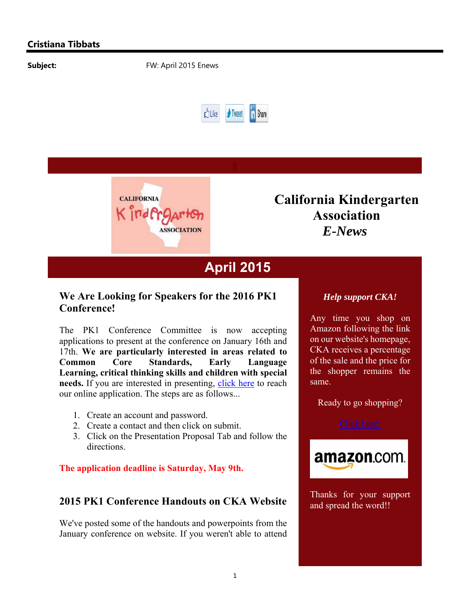



# **California Kindergarten Association** *E-News*

# **April 2015**

## **We Are Looking for Speakers for the 2016 PK1 Conference!**

The PK1 Conference Committee is now accepting applications to present at the conference on January 16th and 17th. **We are particularly interested in areas related to Common Core Standards, Early Language Learning, critical thinking skills and children with special needs.** If you are interested in presenting, click here to reach our online application. The steps are as follows...

- 1. Create an account and password.
- 2. Create a contact and then click on submit.
- 3. Click on the Presentation Proposal Tab and follow the directions.

**The application deadline is Saturday, May 9th.**

## **2015 PK1 Conference Handouts on CKA Website**

We've posted some of the handouts and powerpoints from the January conference on website. If you weren't able to attend

#### *Help support CKA!*

Any time you shop on Amazon following the link on our website's homepage, CKA receives a percentage of the sale and the price for the shopper remains the same.

Ready to go shopping?

 $\mathcal{L}(\mathcal{L})$ 



Thanks for your support and spread the word!!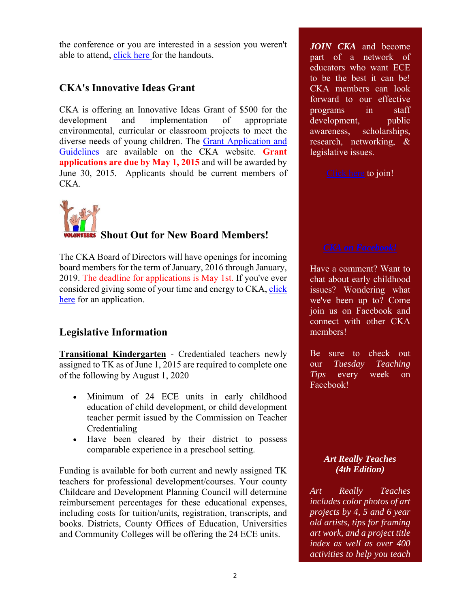the conference or you are interested in a session you weren't able to attend, click here for the handouts.

#### **CKA's Innovative Ideas Grant**

CKA is offering an Innovative Ideas Grant of \$500 for the development and implementation of appropriate environmental, curricular or classroom projects to meet the diverse needs of young children. The Grant Application and Guidelines are available on the CKA website. **Grant applications are due by May 1, 2015** and will be awarded by June 30, 2015. Applicants should be current members of CKA.



## **Shout Out for New Board Members!**

The CKA Board of Directors will have openings for incoming board members for the term of January, 2016 through January, 2019. The deadline for applications is May 1st. If you've ever considered giving some of your time and energy to CKA, click here for an application.

## **Legislative Information**

**Transitional Kindergarten** - Credentialed teachers newly assigned to TK as of June 1, 2015 are required to complete one of the following by August 1, 2020

- Minimum of 24 ECE units in early childhood education of child development, or child development teacher permit issued by the Commission on Teacher Credentialing
- Have been cleared by their district to possess comparable experience in a preschool setting.

Funding is available for both current and newly assigned TK teachers for professional development/courses. Your county Childcare and Development Planning Council will determine reimbursement percentages for these educational expenses, including costs for tuition/units, registration, transcripts, and books. Districts, County Offices of Education, Universities and Community Colleges will be offering the 24 ECE units.

*JOIN CKA* and become part of a network of educators who want ECE to be the best it can be! CKA members can look forward to our effective programs in staff development, public awareness, scholarships, research, networking, & legislative issues.

Click here to join!

Have a comment? Want to chat about early childhood issues? Wondering what we've been up to? Come join us on Facebook and connect with other CKA members!

Be sure to check out our *Tuesday Teaching Tips* every week on Facebook!

#### *Art Really Teaches (4th Edition)*

*Art Really Teaches includes color photos of art projects by 4, 5 and 6 year old artists, tips for framing art work, and a project title index as well as over 400 activities to help you teach*